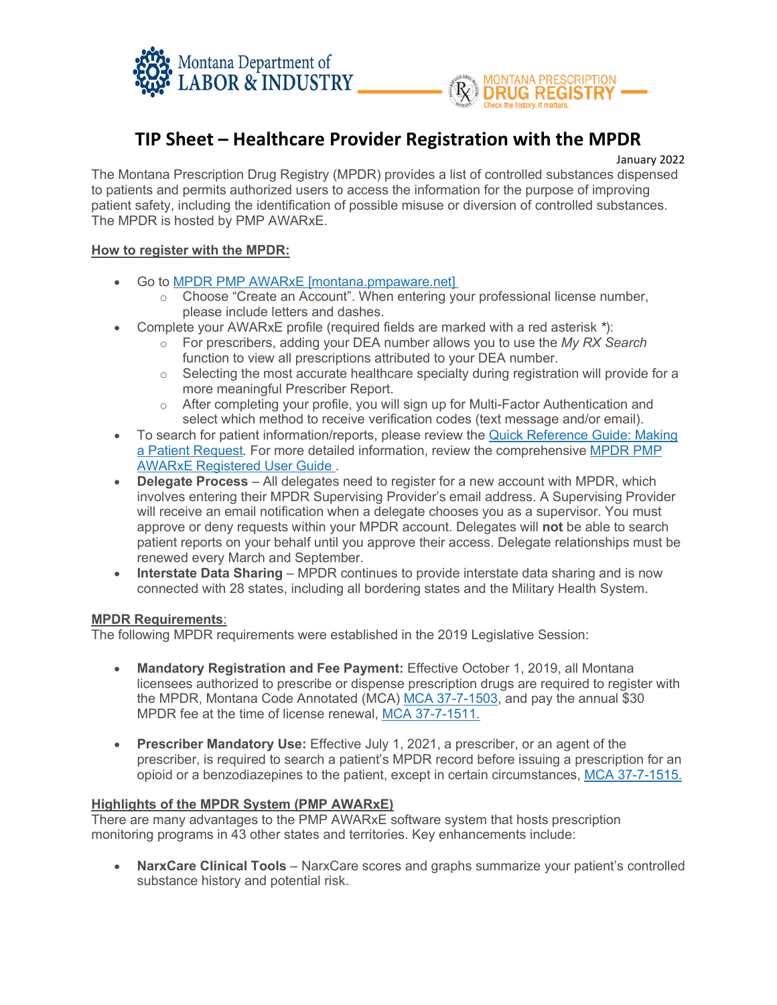



# **TIP Sheet – Healthcare Provider Registration with the MPDR**

January 2022

The Montana Prescription Drug Registry (MPDR) provides a list of controlled substances dispensed to patients and permits authorized users to access the information for the purpose of improving patient safety, including the identification of possible misuse or diversion of controlled substances. The MPDR is hosted by PMP AWARxE.

### **How to register with the MPDR:**

- Go to **MPDR PMP AWARxE** [montana.pmpaware.net]
	- $\circ$  Choose "Create an Account". When entering your professional license number, please include letters and dashes.
- Complete your AWARxE profile (required fields are marked with a red asterisk *\**):
	- o For prescribers, adding your DEA number allows you to use the *My RX Search* function to view all prescriptions attributed to your DEA number.
	- $\circ$  Selecting the most accurate healthcare specialty during registration will provide for a more meaningful Prescriber Report.
	- $\circ$  After completing your profile, you will sign up for Multi-Factor Authentication and select which method to receive verification codes (text message and/or email).
- To search for patient information/reports, please review the [Quick Reference Guide: Making](https://boards.bsd.dli.mt.gov/_docs/pha/MT-QuickReferenceGuide_MakingPatientRequest_MPDR-PMP-AWARxE.pdf)  [a Patient Request](https://boards.bsd.dli.mt.gov/_docs/pha/MT-QuickReferenceGuide_MakingPatientRequest_MPDR-PMP-AWARxE.pdf)*.* For more detailed information, review the comprehensive [MPDR PMP](https://boards.bsd.dli.mt.gov/_docs/pha/MT-PMPAWARxE_RegisteredUserGuide.pdf)  [AWARxE Registered User Guide .](https://boards.bsd.dli.mt.gov/_docs/pha/MT-PMPAWARxE_RegisteredUserGuide.pdf)
- **Delegate Process**  All delegates need to register for a new account with MPDR, which involves entering their MPDR Supervising Provider's email address. A Supervising Provider will receive an email notification when a delegate chooses you as a supervisor. You must approve or deny requests within your MPDR account. Delegates will **not** be able to search patient reports on your behalf until you approve their access. Delegate relationships must be renewed every March and September.
- **Interstate Data Sharing** MPDR continues to provide interstate data sharing and is now connected with 28 states, including all bordering states and the Military Health System.

#### **MPDR Requirements**:

The following MPDR requirements were established in the 2019 Legislative Session:

- **Mandatory Registration and Fee Payment:** Effective October 1, 2019, all Montana licensees authorized to prescribe or dispense prescription drugs are required to register with the MPDR, Montana Code Annotated (MCA) [MCA 37-7-1503,](https://leg.mt.gov/bills/mca/title_0370/chapter_0070/part_0150/section_0030/0370-0070-0150-0030.html) and pay the annual \$30 MPDR fee at the time of license renewal, [MCA 37-7-1511.](https://leg.mt.gov/bills/mca/title_0370/chapter_0070/part_0150/section_0110/0370-0070-0150-0110.html)
- **Prescriber Mandatory Use:** Effective July 1, 2021, a prescriber, or an agent of the prescriber, is required to search a patient's MPDR record before issuing a prescription for an opioid or a benzodiazepines to the patient, except in certain circumstances, [MCA 37-7-1515.](https://leg.mt.gov/bills/mca/title_0370/chapter_0070/part_0150/section_0150/0370-0070-0150-0150.html)

#### **Highlights of the MPDR System (PMP AWARxE)**

There are many advantages to the PMP AWARxE software system that hosts prescription monitoring programs in 43 other states and territories. Key enhancements include:

• **NarxCare Clinical Tools** – NarxCare scores and graphs summarize your patient's controlled substance history and potential risk.